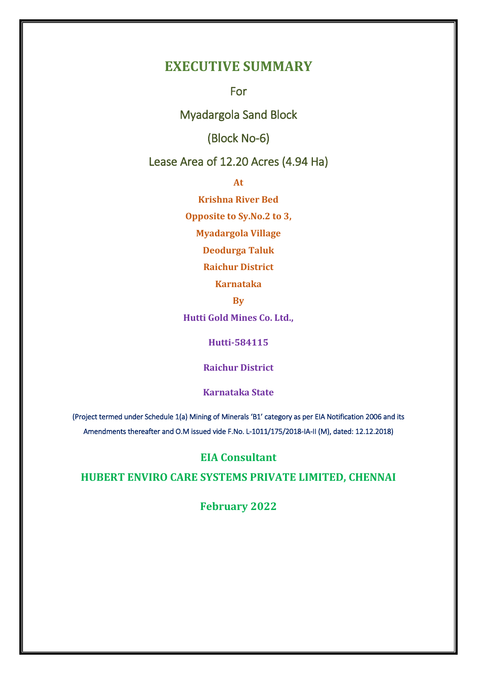# **EXECUTIVE SUMMARY**

For

Myadargola Sand Block

(Block No-6)

Lease Area of 12.20 Acres (4.94 Ha)

**At** 

**Krishna River Bed**

**Opposite to Sy.No.2 to 3,**

**Myadargola Village**

**Deodurga Taluk**

**Raichur District**

**Karnataka**

**By**

**Hutti Gold Mines Co. Ltd.,**

**Hutti-584115**

**Raichur District**

**Karnataka State**

(Project termed under Schedule 1(a) Mining of Minerals 'B1' category as per EIA Notification 2006 and its Amendments thereafter and O.M issued vide F.No. L-1011/175/2018-IA-II (M), dated: 12.12.2018)

# **EIA Consultant**

**HUBERT ENVIRO CARE SYSTEMS PRIVATE LIMITED, CHENNAI**

**February 2022**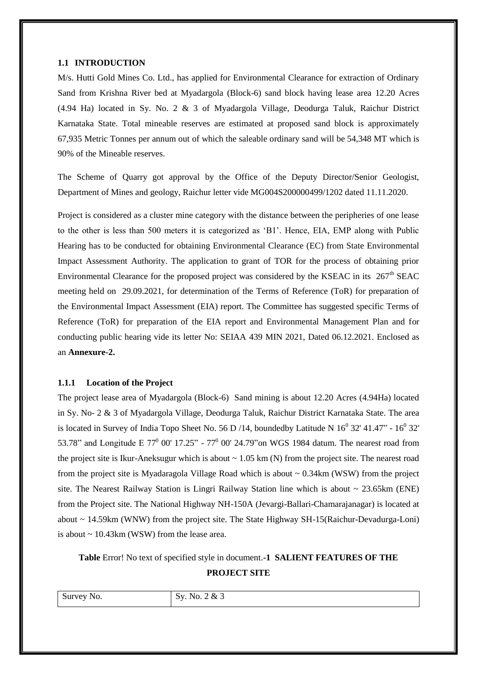#### **1.1 INTRODUCTION**

M/s. Hutti Gold Mines Co. Ltd., has applied for Environmental Clearance for extraction of Ordinary Sand from Krishna River bed at Myadargola (Block-6) sand block having lease area 12.20 Acres (4.94 Ha) located in Sy. No. 2 & 3 of Myadargola Village, Deodurga Taluk, Raichur District Karnataka State. Total mineable reserves are estimated at proposed sand block is approximately 67,935 Metric Tonnes per annum out of which the saleable ordinary sand will be 54,348 MT which is 90% of the Mineable reserves.

The Scheme of Quarry got approval by the Office of the Deputy Director/Senior Geologist, Department of Mines and geology, Raichur letter vide MG004S200000499/1202 dated 11.11.2020.

Project is considered as a cluster mine category with the distance between the peripheries of one lease to the other is less than 500 meters it is categorized as 'B1'. Hence, EIA, EMP along with Public Hearing has to be conducted for obtaining Environmental Clearance (EC) from State Environmental Impact Assessment Authority. The application to grant of TOR for the process of obtaining prior Environmental Clearance for the proposed project was considered by the KSEAC in its  $267<sup>th</sup>$  SEAC meeting held on 29.09.2021, for determination of the Terms of Reference (ToR) for preparation of the Environmental Impact Assessment (EIA) report. The Committee has suggested specific Terms of Reference (ToR) for preparation of the EIA report and Environmental Management Plan and for conducting public hearing vide its letter No: SEIAA 439 MIN 2021, Dated 06.12.2021. Enclosed as an **Annexure-2.**

### **1.1.1 Location of the Project**

The project lease area of Myadargola (Block-6) Sand mining is about 12.20 Acres (4.94Ha) located in Sy. No- 2 & 3 of Myadargola Village, Deodurga Taluk, Raichur District Karnataka State. The area is located in Survey of India Topo Sheet No. 56 D /14, boundedby Latitude N  $16^0$  32' 41.47" -  $16^0$  32' 53.78" and Longitude E  $77^{\circ}$  00' 17.25" -  $77^{\circ}$  00' 24.79" on WGS 1984 datum. The nearest road from the project site is Ikur-Aneksugur which is about  $\sim 1.05$  km (N) from the project site. The nearest road from the project site is Myadaragola Village Road which is about  $\sim 0.34 \text{km}$  (WSW) from the project site. The Nearest Railway Station is Lingri Railway Station line which is about  $\sim 23.65 \text{km}$  (ENE) from the Project site. The National Highway NH-150A (Jevargi-Ballari-Chamarajanagar) is located at about ~ 14.59km (WNW) from the project site. The State Highway SH-15(Raichur-Devadurga-Loni) is about  $\sim 10.43 \text{km}$  (WSW) from the lease area.

**Table** Error! No text of specified style in document.**-1 SALIENT FEATURES OF THE** 

**PROJECT SITE**

|  | $\sim$<br>Survey<br>'NO. | $x_{\tau}$<br>$\overline{v}$ $\overline{v}$ $\overline{v}$<br>ັ |
|--|--------------------------|-----------------------------------------------------------------|
|--|--------------------------|-----------------------------------------------------------------|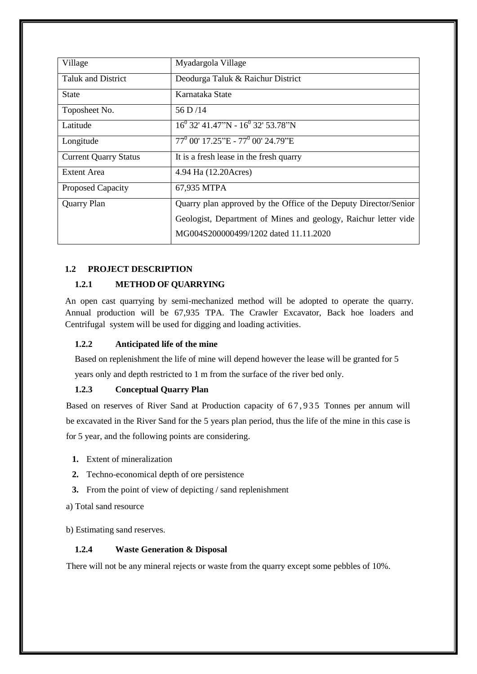| Village                      | Myadargola Village                                               |  |  |  |
|------------------------------|------------------------------------------------------------------|--|--|--|
| <b>Taluk and District</b>    | Deodurga Taluk & Raichur District                                |  |  |  |
| <b>State</b>                 | Karnataka State                                                  |  |  |  |
| Toposheet No.                | 56 D/14                                                          |  |  |  |
| Latitude                     | $16^{0}$ 32' 41.47"N - $16^{0}$ 32' 53.78"N                      |  |  |  |
| Longitude                    | $77^0$ 00' 17.25"E - $77^0$ 00' 24.79"E                          |  |  |  |
| <b>Current Quarry Status</b> | It is a fresh lease in the fresh quarry                          |  |  |  |
| <b>Extent Area</b>           | 4.94 Ha (12.20Acres)                                             |  |  |  |
| <b>Proposed Capacity</b>     | 67,935 MTPA                                                      |  |  |  |
| <b>Quarry Plan</b>           | Quarry plan approved by the Office of the Deputy Director/Senior |  |  |  |
|                              | Geologist, Department of Mines and geology, Raichur letter vide  |  |  |  |
|                              | MG004S200000499/1202 dated 11.11.2020                            |  |  |  |

# **1.2 PROJECT DESCRIPTION**

# **1.2.1 METHOD OF QUARRYING**

An open cast quarrying by semi-mechanized method will be adopted to operate the quarry. Annual production will be 67,935 TPA. The Crawler Excavator, Back hoe loaders and Centrifugal system will be used for digging and loading activities.

# **1.2.2 Anticipated life of the mine**

Based on replenishment the life of mine will depend however the lease will be granted for 5 years only and depth restricted to 1 m from the surface of the river bed only.

# **1.2.3 Conceptual Quarry Plan**

Based on reserves of River Sand at Production capacity of 67,935 Tonnes per annum will be excavated in the River Sand for the 5 years plan period, thus the life of the mine in this case is for 5 year, and the following points are considering.

- **1.** Extent of mineralization
- **2.** Techno-economical depth of ore persistence
- **3.** From the point of view of depicting / sand replenishment
- a) Total sand resource

b) Estimating sand reserves.

# **1.2.4 Waste Generation & Disposal**

There will not be any mineral rejects or waste from the quarry except some pebbles of 10%.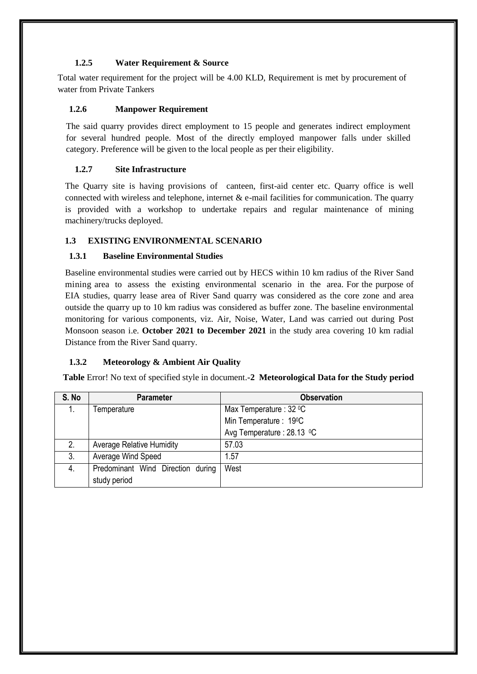# **1.2.5 Water Requirement & Source**

Total water requirement for the project will be 4.00 KLD, Requirement is met by procurement of water from Private Tankers

# **1.2.6 Manpower Requirement**

The said quarry provides direct employment to 15 people and generates indirect employment for several hundred people. Most of the directly employed manpower falls under skilled category. Preference will be given to the local people as per their eligibility.

# **1.2.7 Site Infrastructure**

The Quarry site is having provisions of canteen, first-aid center etc. Quarry office is well connected with wireless and telephone, internet  $\&$  e-mail facilities for communication. The quarry is provided with a workshop to undertake repairs and regular maintenance of mining machinery/trucks deployed.

# **1.3 EXISTING ENVIRONMENTAL SCENARIO**

# **1.3.1 Baseline Environmental Studies**

Baseline environmental studies were carried out by HECS within 10 km radius of the River Sand mining area to assess the existing environmental scenario in the area. For the purpose of EIA studies, quarry lease area of River Sand quarry was considered as the core zone and area outside the quarry up to 10 km radius was considered as buffer zone. The baseline environmental monitoring for various components, viz. Air, Noise, Water, Land was carried out during Post Monsoon season i.e. **October 2021 to December 2021** in the study area covering 10 km radial Distance from the River Sand quarry.

# **1.3.2 Meteorology & Ambient Air Quality**

**Table** Error! No text of specified style in document.**-2 Meteorological Data for the Study period**

| S. No | <b>Parameter</b>                  | <b>Observation</b>        |
|-------|-----------------------------------|---------------------------|
|       | Temperature                       | Max Temperature : 32 °C   |
|       |                                   | Min Temperature: 19°C     |
|       |                                   | Avg Temperature: 28.13 °C |
| 2.    | <b>Average Relative Humidity</b>  | 57.03                     |
| 3.    | Average Wind Speed                | 1.57                      |
| 4.    | Predominant Wind Direction during | West                      |
|       | study period                      |                           |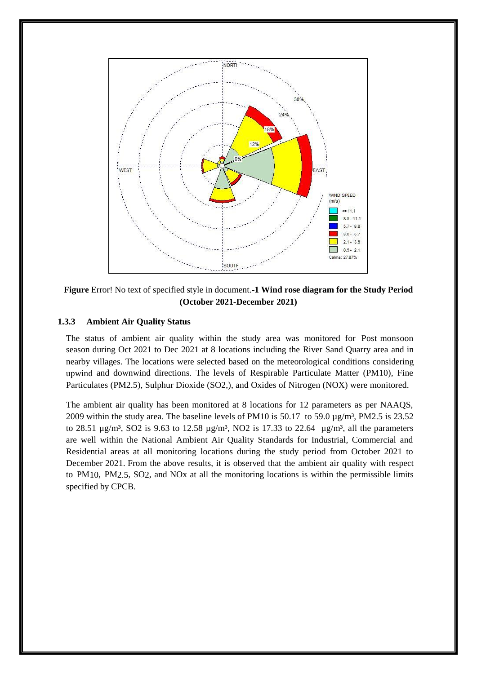

**Figure** Error! No text of specified style in document.**-1 Wind rose diagram for the Study Period (October 2021-December 2021)**

### **1.3.3 Ambient Air Quality Status**

The status of ambient air quality within the study area was monitored for Post monsoon season during Oct 2021 to Dec 2021 at 8 locations including the River Sand Quarry area and in nearby villages. The locations were selected based on the meteorological conditions considering upwind and downwind directions. The levels of Respirable Particulate Matter (PM10), Fine Particulates (PM2.5), Sulphur Dioxide (SO2,), and Oxides of Nitrogen (NOX) were monitored.

The ambient air quality has been monitored at 8 locations for 12 parameters as per NAAQS, 2009 within the study area. The baseline levels of PM10 is  $50.17$  to  $59.0 \mu g/m<sup>3</sup>$ , PM2.5 is 23.52 to 28.51  $\mu$ g/m<sup>3</sup>, SO2 is 9.63 to 12.58  $\mu$ g/m<sup>3</sup>, NO2 is 17.33 to 22.64  $\mu$ g/m<sup>3</sup>, all the parameters are well within the National Ambient Air Quality Standards for Industrial, Commercial and Residential areas at all monitoring locations during the study period from October 2021 to December 2021. From the above results, it is observed that the ambient air quality with respect to PM10, PM2.5, SO2, and NOx at all the monitoring locations is within the permissible limits specified by CPCB.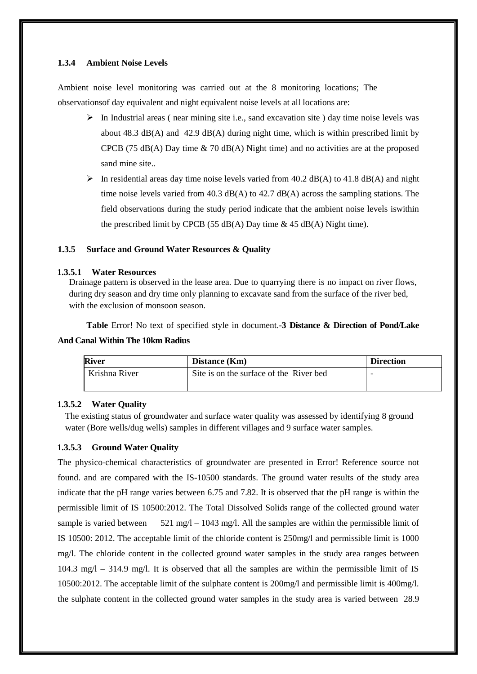#### **1.3.4 Ambient Noise Levels**

Ambient noise level monitoring was carried out at the 8 monitoring locations; The observationsof day equivalent and night equivalent noise levels at all locations are:

- $\triangleright$  In Industrial areas (near mining site i.e., sand excavation site ) day time noise levels was about  $48.3 \text{ dB}(A)$  and  $42.9 \text{ dB}(A)$  during night time, which is within prescribed limit by CPCB (75 dB(A) Day time  $\&$  70 dB(A) Night time) and no activities are at the proposed sand mine site..
- $\triangleright$  In residential areas day time noise levels varied from 40.2 dB(A) to 41.8 dB(A) and night time noise levels varied from 40.3 dB(A) to  $42.7 \text{ dB}(A)$  across the sampling stations. The field observations during the study period indicate that the ambient noise levels iswithin the prescribed limit by CPCB (55 dB(A) Day time  $\&$  45 dB(A) Night time).

#### **1.3.5 Surface and Ground Water Resources & Quality**

#### **1.3.5.1 Water Resources**

Drainage pattern is observed in the lease area. Due to quarrying there is no impact on river flows, during dry season and dry time only planning to excavate sand from the surface of the river bed, with the exclusion of monsoon season.

**Table** Error! No text of specified style in document.**-3 Distance & Direction of Pond/Lake And Canal Within The 10km Radius**

| <b>River</b>  | Distance (Km)                           | <b>Direction</b> |
|---------------|-----------------------------------------|------------------|
| Krishna River | Site is on the surface of the River bed | -                |
|               |                                         |                  |

### **1.3.5.2 Water Quality**

The existing status of groundwater and surface water quality was assessed by identifying 8 ground water (Bore wells/dug wells) samples in different villages and 9 surface water samples.

### **1.3.5.3 Ground Water Quality**

The physico-chemical characteristics of groundwater are presented in Error! Reference source not found. and are compared with the IS-10500 standards. The ground water results of the study area indicate that the pH range varies between 6.75 and 7.82. It is observed that the pH range is within the permissible limit of IS 10500:2012. The Total Dissolved Solids range of the collected ground water sample is varied between  $521 \text{ mg}/\text{l} - 1043 \text{ mg}/\text{l}$ . All the samples are within the permissible limit of IS 10500: 2012. The acceptable limit of the chloride content is 250mg/l and permissible limit is 1000 mg/l. The chloride content in the collected ground water samples in the study area ranges between  $104.3 \text{ mg/l} - 314.9 \text{ mg/l}$ . It is observed that all the samples are within the permissible limit of IS 10500:2012. The acceptable limit of the sulphate content is 200mg/l and permissible limit is 400mg/l. the sulphate content in the collected ground water samples in the study area is varied between 28.9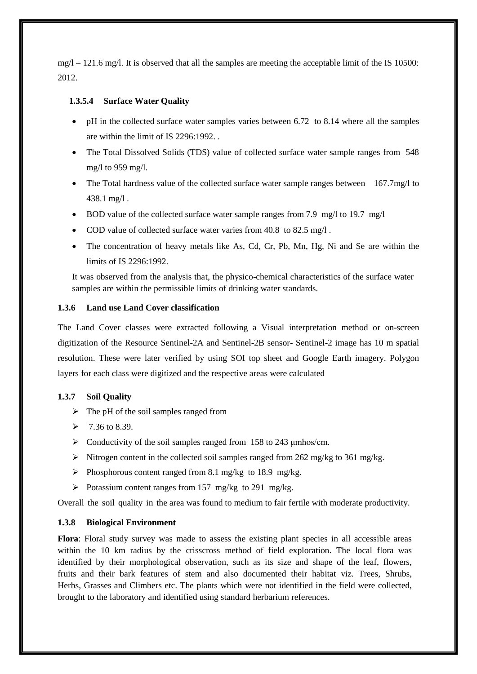$mg/1 - 121.6$  mg/l. It is observed that all the samples are meeting the acceptable limit of the IS 10500: 2012.

### **1.3.5.4 Surface Water Quality**

- $\bullet$  pH in the collected surface water samples varies between 6.72 to 8.14 where all the samples are within the limit of IS 2296:1992. .
- The Total Dissolved Solids (TDS) value of collected surface water sample ranges from 548 mg/l to 959 mg/l.
- The Total hardness value of the collected surface water sample ranges between 167.7mg/l to 438.1 mg/l .
- BOD value of the collected surface water sample ranges from 7.9 mg/l to 19.7 mg/l
- COD value of collected surface water varies from 40.8 to 82.5 mg/l.
- The concentration of heavy metals like As, Cd, Cr, Pb, Mn, Hg, Ni and Se are within the limits of IS 2296:1992.

It was observed from the analysis that, the physico-chemical characteristics of the surface water samples are within the permissible limits of drinking water standards.

### **1.3.6 Land use Land Cover classification**

The Land Cover classes were extracted following a Visual interpretation method or on-screen digitization of the Resource Sentinel-2A and Sentinel-2B sensor- Sentinel-2 image has 10 m spatial resolution. These were later verified by using SOI top sheet and Google Earth imagery. Polygon layers for each class were digitized and the respective areas were calculated

### **1.3.7 Soil Quality**

- $\triangleright$  The pH of the soil samples ranged from
- $\geq 7.36$  to 8.39.
- $\triangleright$  Conductivity of the soil samples ranged from 158 to 243 µmhos/cm.
- Nitrogen content in the collected soil samples ranged from 262 mg/kg to 361 mg/kg.
- Phosphorous content ranged from 8.1 mg/kg to 18.9 mg/kg.
- $\triangleright$  Potassium content ranges from 157 mg/kg to 291 mg/kg.

Overall the soil quality in the area was found to medium to fair fertile with moderate productivity.

#### **1.3.8 Biological Environment**

**Flora**: Floral study survey was made to assess the existing plant species in all accessible areas within the 10 km radius by the crisscross method of field exploration. The local flora was identified by their morphological observation, such as its size and shape of the leaf, flowers, fruits and their bark features of stem and also documented their habitat viz. Trees, Shrubs, Herbs, Grasses and Climbers etc. The plants which were not identified in the field were collected, brought to the laboratory and identified using standard herbarium references.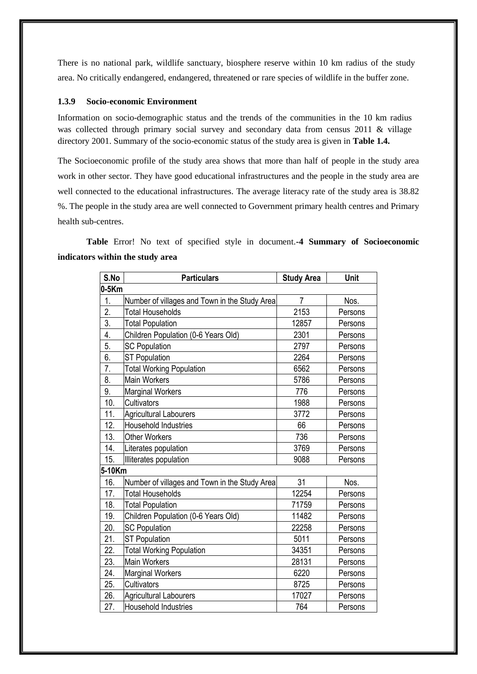There is no national park, wildlife sanctuary, biosphere reserve within 10 km radius of the study area. No critically endangered, endangered, threatened or rare species of wildlife in the buffer zone.

### **1.3.9 Socio-economic Environment**

Information on socio-demographic status and the trends of the communities in the 10 km radius was collected through primary social survey and secondary data from census 2011 & village directory 2001. Summary of the socio-economic status of the study area is given in **Table 1.4.**

The Socioeconomic profile of the study area shows that more than half of people in the study area work in other sector. They have good educational infrastructures and the people in the study area are well connected to the educational infrastructures. The average literacy rate of the study area is 38.82 %. The people in the study area are well connected to Government primary health centres and Primary health sub-centres.

**Table** Error! No text of specified style in document.**-4 Summary of Socioeconomic indicators within the study area**

| S.No             | <b>Particulars</b>                            | <b>Study Area</b> | Unit    |
|------------------|-----------------------------------------------|-------------------|---------|
| $0-5Km$          |                                               |                   |         |
| 1.               | Number of villages and Town in the Study Area | $\overline{7}$    | Nos.    |
| 2.               | <b>Total Households</b>                       | 2153              | Persons |
| $\overline{3}$ . | <b>Total Population</b>                       | 12857             | Persons |
| 4.               | Children Population (0-6 Years Old)           | 2301              | Persons |
| 5.               | <b>SC Population</b>                          | 2797              | Persons |
| 6.               | <b>ST Population</b>                          | 2264              | Persons |
| 7.               | <b>Total Working Population</b>               | 6562              | Persons |
| 8.               | <b>Main Workers</b>                           | 5786              | Persons |
| 9.               | <b>Marginal Workers</b>                       | 776               | Persons |
| 10.              | Cultivators                                   | 1988              | Persons |
| 11.              | <b>Agricultural Labourers</b>                 | 3772              | Persons |
| 12.              | <b>Household Industries</b>                   | 66                | Persons |
| 13.              | <b>Other Workers</b>                          | 736               | Persons |
| 14.              | Literates population                          | 3769              | Persons |
| 15.              | Illiterates population                        | 9088              | Persons |
| 5-10Km           |                                               |                   |         |
| 16.              | Number of villages and Town in the Study Area | 31                | Nos.    |
| 17.              | <b>Total Households</b>                       | 12254             | Persons |
| 18.              | <b>Total Population</b>                       | 71759             | Persons |
| 19.              | Children Population (0-6 Years Old)           | 11482             | Persons |
| 20.              | <b>SC Population</b>                          | 22258             | Persons |
| 21.              | <b>ST Population</b>                          | 5011              | Persons |
| 22.              | <b>Total Working Population</b>               | 34351             | Persons |
| 23.              | <b>Main Workers</b>                           | 28131             | Persons |
| 24.              | <b>Marginal Workers</b>                       | 6220              | Persons |
| 25.              | Cultivators                                   | 8725              | Persons |
| 26.              | <b>Agricultural Labourers</b>                 | 17027             | Persons |
| 27.              | Household Industries                          | 764               | Persons |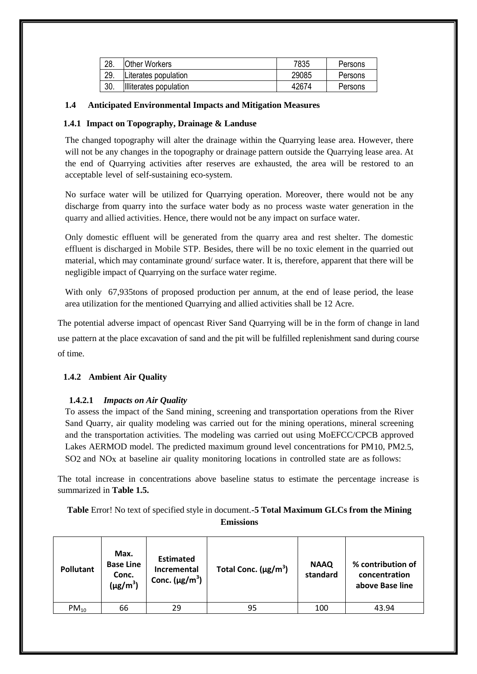| 28. | Other Workers          | 7835  | Persons |
|-----|------------------------|-------|---------|
| 29. | Literates population   | 29085 | Persons |
| 30. | Illiterates population | 42674 | Persons |

### **1.4 Anticipated Environmental Impacts and Mitigation Measures**

### **1.4.1 Impact on Topography, Drainage & Landuse**

The changed topography will alter the drainage within the Quarrying lease area. However, there will not be any changes in the topography or drainage pattern outside the Quarrying lease area. At the end of Quarrying activities after reserves are exhausted, the area will be restored to an acceptable level of self-sustaining eco-system.

No surface water will be utilized for Quarrying operation. Moreover, there would not be any discharge from quarry into the surface water body as no process waste water generation in the quarry and allied activities. Hence, there would not be any impact on surface water.

Only domestic effluent will be generated from the quarry area and rest shelter. The domestic effluent is discharged in Mobile STP. Besides, there will be no toxic element in the quarried out material, which may contaminate ground/ surface water. It is, therefore, apparent that there will be negligible impact of Quarrying on the surface water regime.

With only 67,935tons of proposed production per annum, at the end of lease period, the lease area utilization for the mentioned Quarrying and allied activities shall be 12 Acre.

The potential adverse impact of opencast River Sand Quarrying will be in the form of change in land

use pattern at the place excavation of sand and the pit will be fulfilled replenishment sand during course of time.

# **1.4.2 Ambient Air Quality**

# **1.4.2.1** *Impacts on Air Quality*

To assess the impact of the Sand mining¸ screening and transportation operations from the River Sand Quarry, air quality modeling was carried out for the mining operations, mineral screening and the transportation activities. The modeling was carried out using MoEFCC/CPCB approved Lakes AERMOD model. The predicted maximum ground level concentrations for PM10, PM2.5, SO2 and NOx at baseline air quality monitoring locations in controlled state are as follows:

The total increase in concentrations above baseline status to estimate the percentage increase is summarized in **Table 1.5.**

**Table** Error! No text of specified style in document.**-5 Total Maximum GLCs from the Mining Emissions**

| <b>Pollutant</b> | Max.<br><b>Base Line</b><br>Conc.<br>$(\mu g/m^3)$ | <b>Estimated</b><br><b>Incremental</b><br>Conc. $(\mu g/m^3)$ | Total Conc. $(\mu g/m^3)$ | <b>NAAQ</b><br>standard | % contribution of<br>concentration<br>above Base line |
|------------------|----------------------------------------------------|---------------------------------------------------------------|---------------------------|-------------------------|-------------------------------------------------------|
| $PM_{10}$        | 66                                                 | 29                                                            | 95                        | 100                     | 43.94                                                 |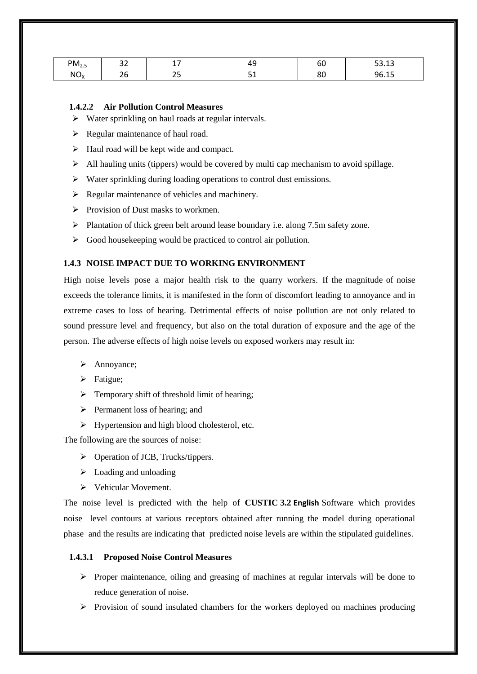| $PM_{2.5}$      | $\sim$ $\sim$       | . .       | -   | - -      | $\Gamma$ $\Omega$ $\Omega$ |
|-----------------|---------------------|-----------|-----|----------|----------------------------|
|                 | ےر                  | . .       | . . | υo       | <u>JJ.IJ</u>               |
| NO <sub>X</sub> | $\sim$ $\sim$<br>∠∪ | ∼−<br>ر ے | --  | oc<br>ου | 96.15                      |

### **1.4.2.2 Air Pollution Control Measures**

- $\triangleright$  Water sprinkling on haul roads at regular intervals.
- $\triangleright$  Regular maintenance of haul road.
- $\triangleright$  Haul road will be kept wide and compact.
- $\triangleright$  All hauling units (tippers) would be covered by multi cap mechanism to avoid spillage.
- $\triangleright$  Water sprinkling during loading operations to control dust emissions.
- $\triangleright$  Regular maintenance of vehicles and machinery.
- $\triangleright$  Provision of Dust masks to workmen.
- Plantation of thick green belt around lease boundary i.e. along 7.5m safety zone.
- $\triangleright$  Good house keeping would be practiced to control air pollution.

### **1.4.3 NOISE IMPACT DUE TO WORKING ENVIRONMENT**

High noise levels pose a major health risk to the quarry workers. If the magnitude of noise exceeds the tolerance limits, it is manifested in the form of discomfort leading to annoyance and in extreme cases to loss of hearing. Detrimental effects of noise pollution are not only related to sound pressure level and frequency, but also on the total duration of exposure and the age of the person. The adverse effects of high noise levels on exposed workers may result in:

- > Annoyance;
- $\triangleright$  Fatigue;
- $\triangleright$  Temporary shift of threshold limit of hearing;
- $\triangleright$  Permanent loss of hearing; and
- $\triangleright$  Hypertension and high blood cholesterol, etc.

The following are the sources of noise:

- $\triangleright$  Operation of JCB, Trucks/tippers.
- $\triangleright$  Loading and unloading
- $\triangleright$  Vehicular Movement.

The noise level is predicted with the help of **CUSTIC 3.2 English** Software which provides noise level contours at various receptors obtained after running the model during operational phase and the results are indicating that predicted noise levels are within the stipulated guidelines.

#### **1.4.3.1 Proposed Noise Control Measures**

- $\triangleright$  Proper maintenance, oiling and greasing of machines at regular intervals will be done to reduce generation of noise.
- $\triangleright$  Provision of sound insulated chambers for the workers deployed on machines producing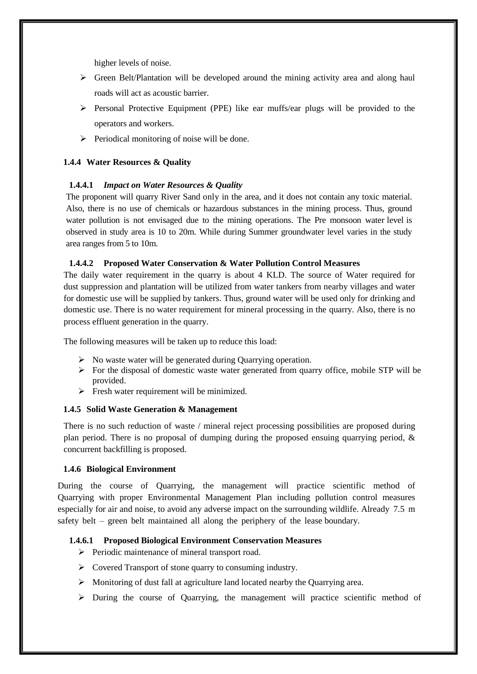higher levels of noise.

- $\triangleright$  Green Belt/Plantation will be developed around the mining activity area and along haul roads will act as acoustic barrier.
- $\triangleright$  Personal Protective Equipment (PPE) like ear muffs/ear plugs will be provided to the operators and workers.
- $\triangleright$  Periodical monitoring of noise will be done.

# **1.4.4 Water Resources & Quality**

### **1.4.4.1** *Impact on Water Resources & Quality*

The proponent will quarry River Sand only in the area, and it does not contain any toxic material. Also, there is no use of chemicals or hazardous substances in the mining process. Thus, ground water pollution is not envisaged due to the mining operations. The Pre monsoon water level is observed in study area is 10 to 20m. While during Summer groundwater level varies in the study area ranges from 5 to 10m.

# **1.4.4.2 Proposed Water Conservation & Water Pollution Control Measures**

The daily water requirement in the quarry is about 4 KLD. The source of Water required for dust suppression and plantation will be utilized from water tankers from nearby villages and water for domestic use will be supplied by tankers. Thus, ground water will be used only for drinking and domestic use. There is no water requirement for mineral processing in the quarry. Also, there is no process effluent generation in the quarry.

The following measures will be taken up to reduce this load:

- $\triangleright$  No waste water will be generated during Quarrying operation.
- For the disposal of domestic waste water generated from quarry office, mobile STP will be provided.
- $\triangleright$  Fresh water requirement will be minimized.

# **1.4.5 Solid Waste Generation & Management**

There is no such reduction of waste / mineral reject processing possibilities are proposed during plan period. There is no proposal of dumping during the proposed ensuing quarrying period, & concurrent backfilling is proposed.

### **1.4.6 Biological Environment**

During the course of Quarrying, the management will practice scientific method of Quarrying with proper Environmental Management Plan including pollution control measures especially for air and noise, to avoid any adverse impact on the surrounding wildlife. Already 7.5 m safety belt – green belt maintained all along the periphery of the lease boundary.

### **1.4.6.1 Proposed Biological Environment Conservation Measures**

- > Periodic maintenance of mineral transport road.
- Covered Transport of stone quarry to consuming industry.
- Monitoring of dust fall at agriculture land located nearby the Quarrying area.
- $\triangleright$  During the course of Quarrying, the management will practice scientific method of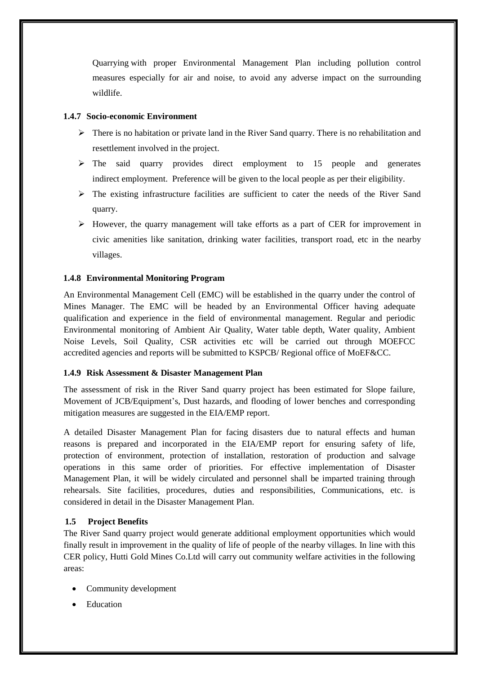Quarrying with proper Environmental Management Plan including pollution control measures especially for air and noise, to avoid any adverse impact on the surrounding wildlife.

# **1.4.7 Socio-economic Environment**

- $\triangleright$  There is no habitation or private land in the River Sand quarry. There is no rehabilitation and resettlement involved in the project.
- $\geq$  The said quarry provides direct employment to 15 people and generates indirect employment. Preference will be given to the local people as per their eligibility.
- The existing infrastructure facilities are sufficient to cater the needs of the River Sand quarry.
- $\triangleright$  However, the quarry management will take efforts as a part of CER for improvement in civic amenities like sanitation, drinking water facilities, transport road, etc in the nearby villages.

# **1.4.8 Environmental Monitoring Program**

An Environmental Management Cell (EMC) will be established in the quarry under the control of Mines Manager. The EMC will be headed by an Environmental Officer having adequate qualification and experience in the field of environmental management. Regular and periodic Environmental monitoring of Ambient Air Quality, Water table depth, Water quality, Ambient Noise Levels, Soil Quality, CSR activities etc will be carried out through MOEFCC accredited agencies and reports will be submitted to KSPCB/ Regional office of MoEF&CC.

### **1.4.9 Risk Assessment & Disaster Management Plan**

The assessment of risk in the River Sand quarry project has been estimated for Slope failure, Movement of JCB/Equipment's, Dust hazards, and flooding of lower benches and corresponding mitigation measures are suggested in the EIA/EMP report.

A detailed Disaster Management Plan for facing disasters due to natural effects and human reasons is prepared and incorporated in the EIA/EMP report for ensuring safety of life, protection of environment, protection of installation, restoration of production and salvage operations in this same order of priorities. For effective implementation of Disaster Management Plan, it will be widely circulated and personnel shall be imparted training through rehearsals. Site facilities, procedures, duties and responsibilities, Communications, etc. is considered in detail in the Disaster Management Plan.

# **1.5 Project Benefits**

The River Sand quarry project would generate additional employment opportunities which would finally result in improvement in the quality of life of people of the nearby villages. In line with this CER policy, Hutti Gold Mines Co.Ltd will carry out community welfare activities in the following areas:

- Community development
- Education